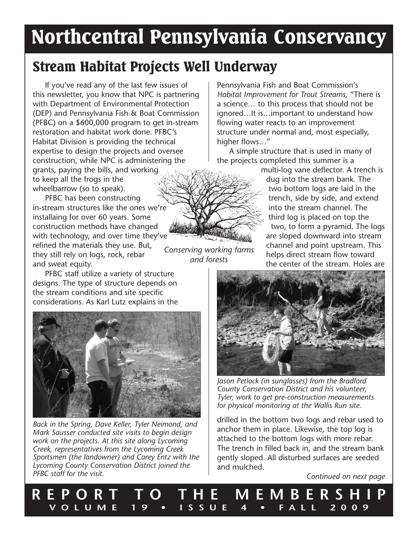# Northcentral Pennsylvania Conservancy

*and forests*

# Stream Habitat Projects Well Underway

If you've read any of the last few issues of this newsletter, you know that NPC is partnering with Department of Environmental Protection (DEP) and Pennsylvania Fish & Boat Commission (PFBC) on a \$600,000 program to get in-stream restoration and habitat work done. PFBC's Habitat Division is providing the technical expertise to design the projects and oversee construction, while NPC is administering the grants, paying the bills, and working to keep all the frogs in the

wheelbarrow (so to speak). PFBC has been constructing

*Conserving working farms*  in-stream structures like the ones we're installaing for over 60 years. Some construction methods have changed with technology, and over time they've refined the materials they use. But, they still rely on logs, rock, rebar and sweat equity.

PFBC staff utilize a variety of structure designs. The type of structure depends on the stream conditions and site specific considerations. As Karl Lutz explains in the



*Back in the Spring, Dave Keller, Tyler Neimond, and Mark Sausser conducted site visits to begin design work on the projects. At this site along Lycoming Creek, representatives from the Lycoming Creek Sportsmen (the landowner) and Carey Entz with the Lycoming County Conservation District joined the PFBC staff for the visit.*

Pennsylvania Fish and Boat Commission's *Habitat Improvement for Trout Streams*, "There is a science… to this process that should not be ignored…It is…important to understand how flowing water reacts to an improvement structure under normal and, most especially, higher flows…"

A simple structure that is used in many of the projects completed this summer is a

> multi-log vane deflector. A trench is dug into the stream bank. The two bottom logs are laid in the trench, side by side, and extend into the stream channel. The third log is placed on top the two, to form a pyramid. The logs are sloped downward into stream channel and point upstream. This helps direct stream flow toward the center of the stream. Holes are



*Jason Petlock (in sunglasses) from the Bradford County Conservation District and his volunteer, Tyler, work to get pre-construction measurements for physical monitoring at the Wallis Run site.*

drilled in the bottom two logs and rebar used to anchor them in place. Likewise, the top log is attached to the bottom logs with more rebar. The trench in filled back in, and the stream bank gently sloped. All disturbed surfaces are seeded and mulched.

*Continued on next page*

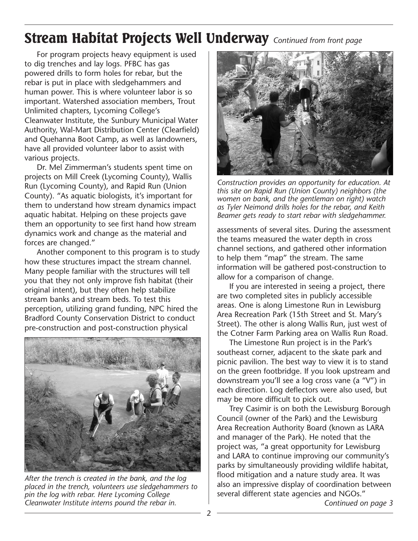### Stream Habitat Projects Well Underway *Continued from front page*

For program projects heavy equipment is used to dig trenches and lay logs. PFBC has gas powered drills to form holes for rebar, but the rebar is put in place with sledgehammers and human power. This is where volunteer labor is so important. Watershed association members, Trout Unlimited chapters, Lycoming College's Cleanwater Institute, the Sunbury Municipal Water Authority, Wal-Mart Distribution Center (Clearfield) and Quehanna Boot Camp, as well as landowners, have all provided volunteer labor to assist with various projects.

Dr. Mel Zimmerman's students spent time on projects on Mill Creek (Lycoming County), Wallis Run (Lycoming County), and Rapid Run (Union County). "As aquatic biologists, it's important for them to understand how stream dynamics impact aquatic habitat. Helping on these projects gave them an opportunity to see first hand how stream dynamics work and change as the material and forces are changed."

Another component to this program is to study how these structures impact the stream channel. Many people familiar with the structures will tell you that they not only improve fish habitat (their original intent), but they often help stabilize stream banks and stream beds. To test this perception, utilizing grand funding, NPC hired the Bradford County Conservation District to conduct pre-construction and post-construction physical



*After the trench is created in the bank, and the log placed in the trench, volunteers use sledgehammers to pin the log with rebar. Here Lycoming College Cleanwater Institute interns pound the rebar in.*



*Construction provides an opportunity for education. At this site on Rapid Run (Union County) neighbors (the women on bank, and the gentleman on right) watch as Tyler Neimond drills holes for the rebar, and Keith Beamer gets ready to start rebar with sledgehammer.*

assessments of several sites. During the assessment the teams measured the water depth in cross channel sections, and gathered other information to help them "map" the stream. The same information will be gathered post-construction to allow for a comparison of change.

If you are interested in seeing a project, there are two completed sites in publicly accessible areas. One is along Limestone Run in Lewisburg Area Recreation Park (15th Street and St. Mary's Street). The other is along Wallis Run, just west of the Cotner Farm Parking area on Wallis Run Road.

The Limestone Run project is in the Park's southeast corner, adjacent to the skate park and picnic pavilion. The best way to view it is to stand on the green footbridge. If you look upstream and downstream you'll see a log cross vane (a "V") in each direction. Log deflectors were also used, but may be more difficult to pick out.

Trey Casimir is on both the Lewisburg Borough Council (owner of the Park) and the Lewisburg Area Recreation Authority Board (known as LARA and manager of the Park). He noted that the project was, "a great opportunity for Lewisburg and LARA to continue improving our community's parks by simultaneously providing wildlife habitat, flood mitigation and a nature study area. It was also an impressive display of coordination between several different state agencies and NGOs." *Continued on page 3*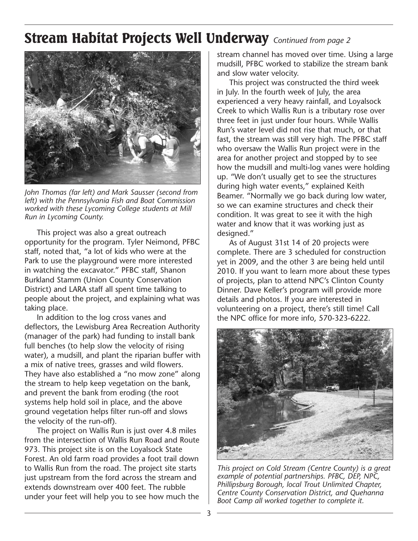### Stream Habitat Projects Well Underway *Continued from page 2*



*John Thomas (far left) and Mark Sausser (second from left) with the Pennsylvania Fish and Boat Commission worked with these Lycoming College students at Mill Run in Lycoming County.* 

This project was also a great outreach opportunity for the program. Tyler Neimond, PFBC staff, noted that, "a lot of kids who were at the Park to use the playground were more interested in watching the excavator." PFBC staff, Shanon Burkland Stamm (Union County Conservation District) and LARA staff all spent time talking to people about the project, and explaining what was taking place.

In addition to the log cross vanes and deflectors, the Lewisburg Area Recreation Authority (manager of the park) had funding to install bank full benches (to help slow the velocity of rising water), a mudsill, and plant the riparian buffer with a mix of native trees, grasses and wild flowers. They have also established a "no mow zone" along the stream to help keep vegetation on the bank, and prevent the bank from eroding (the root systems help hold soil in place, and the above ground vegetation helps filter run-off and slows the velocity of the run-off).

The project on Wallis Run is just over 4.8 miles from the intersection of Wallis Run Road and Route 973. This project site is on the Loyalsock State Forest. An old farm road provides a foot trail down to Wallis Run from the road. The project site starts just upstream from the ford across the stream and extends downstream over 400 feet. The rubble under your feet will help you to see how much the

stream channel has moved over time. Using a large mudsill, PFBC worked to stabilize the stream bank and slow water velocity.

This project was constructed the third week in July. In the fourth week of July, the area experienced a very heavy rainfall, and Loyalsock Creek to which Wallis Run is a tributary rose over three feet in just under four hours. While Wallis Run's water level did not rise that much, or that fast, the stream was still very high. The PFBC staff who oversaw the Wallis Run project were in the area for another project and stopped by to see how the mudsill and multi-log vanes were holding up. "We don't usually get to see the structures during high water events," explained Keith Beamer. "Normally we go back during low water, so we can examine structures and check their condition. It was great to see it with the high water and know that it was working just as designed."

As of August 31st 14 of 20 projects were complete. There are 3 scheduled for construction yet in 2009, and the other 3 are being held until 2010. If you want to learn more about these types of projects, plan to attend NPC's Clinton County Dinner. Dave Keller's program will provide more details and photos. If you are interested in volunteering on a project, there's still time! Call the NPC office for more info, 570-323-6222.



*This project on Cold Stream (Centre County) is a great example of potential partnerships. PFBC, DEP, NPC, Phillipsburg Borough, local Trout Unlimited Chapter, Centre County Conservation District, and Quehanna Boot Camp all worked together to complete it.*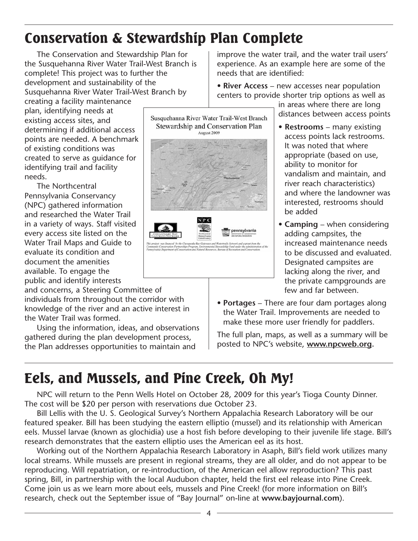# Conservation & Stewardship Plan Complete

The Conservation and Stewardship Plan for the Susquehanna River Water Trail-West Branch is complete! This project was to further the development and sustainability of the Susquehanna River Water Trail-West Branch by

creating a facility maintenance plan, identifying needs at existing access sites, and determining if additional access points are needed. A benchmark of existing conditions was created to serve as guidance for identifying trail and facility needs.

The Northcentral Pennsylvania Conservancy (NPC) gathered information and researched the Water Trail in a variety of ways. Staff visited every access site listed on the Water Trail Maps and Guide to evaluate its condition and document the amenities available. To engage the public and identify interests

and concerns, a Steering Committee of individuals from throughout the corridor with knowledge of the river and an active interest in the Water Trail was formed.

Using the information, ideas, and observations gathered during the plan development process, the Plan addresses opportunities to maintain and

improve the water trail, and the water trail users' experience. As an example here are some of the needs that are identified:

• **River Access** – new accesses near population centers to provide shorter trip options as well as

> in areas where there are long distances between access points

- **Restrooms** many existing access points lack restrooms. It was noted that where appropriate (based on use, ability to monitor for vandalism and maintain, and river reach characteristics) and where the landowner was interested, restrooms should be added
- **Camping** when considering adding campsites, the increased maintenance needs to be discussed and evaluated. Designated campsites are lacking along the river, and the private campgrounds are few and far between.
- **Portages** There are four dam portages along the Water Trail. Improvements are needed to make these more user friendly for paddlers.

The full plan, maps, as well as a summary will be posted to NPC's website, **www.npcweb.org.** 

# Eels, and Mussels, and Pine Creek, Oh My!

NPC will return to the Penn Wells Hotel on October 28, 2009 for this year's Tioga County Dinner. The cost will be \$20 per person with reservations due October 23.

Bill Lellis with the U. S. Geological Survey's Northern Appalachia Research Laboratory will be our featured speaker. Bill has been studying the eastern elliptio (mussel) and its relationship with American eels. Mussel larvae (known as glochidia) use a host fish before developing to their juvenile life stage. Bill's research demonstrates that the eastern elliptio uses the American eel as its host.

Working out of the Northern Appalachia Research Laboratory in Asaph, Bill's field work utilizes many local streams. While mussels are present in regional streams, they are all older, and do not appear to be reproducing. Will repatriation, or re-introduction, of the American eel allow reproduction? This past spring, Bill, in partnership with the local Audubon chapter, held the first eel release into Pine Creek. Come join us as we learn more about eels, mussels and Pine Creek! (for more information on Bill's research, check out the September issue of "Bay Journal" on-line at **www.bayjournal.com**).





pennsylvania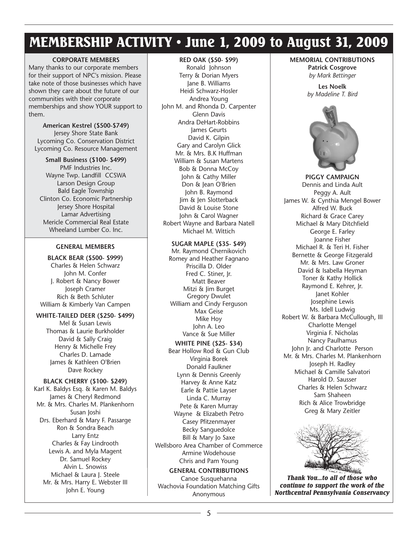### MEMBERSHIP ACTIVITY • June 1, 2009 to August 31, 2009

#### **CORPORATE MEMBERS**

Many thanks to our corporate members for their support of NPC's mission. Please take note of those businesses which have shown they care about the future of our communities with their corporate memberships and show YOUR support to them.

**American Kestrel (\$500-\$749)** Jersey Shore State Bank Lycoming Co. Conservation District Lycoming Co. Resource Management

**Small Business (\$100- \$499)** PMF Industries Inc. Wayne Twp. Landfill CCSWA Larson Design Group Bald Eagle Township Clinton Co. Economic Partnership Jersey Shore Hospital Lamar Advertising Mericle Commercial Real Estate Wheeland Lumber Co. Inc.

#### **GENERAL MEMBERS**

**BLACK BEAR (\$500- \$999)** Charles & Helen Schwarz John M. Confer J. Robert & Nancy Bower Joseph Cramer Rich & Beth Schluter William & Kimberly Van Campen

#### **WHITE-TAILED DEER (\$250- \$499)**

Mel & Susan Lewis Thomas & Laurie Burkholder David & Sally Craig Henry & Michelle Frey Charles D. Lamade James & Kathleen O'Brien Dave Rockey

#### **BLACK CHERRY (\$100- \$249)**

Karl K. Baldys Esq. & Karen M. Baldys James & Cheryl Redmond Mr. & Mrs. Charles M. Plankenhorn Susan Joshi Drs. Eberhard & Mary F. Passarge Ron & Sondra Beach Larry Entz Charles & Fay Lindrooth Lewis A. and Myla Magent Dr. Samuel Rockey Alvin L. Snowiss Michael & Laura I. Steele Mr. & Mrs. Harry E. Webster III John E. Young

#### **RED OAK (\$50- \$99)**

Ronald Johnson Terry & Dorian Myers Jane B. Williams Heidi Schwarz-Hosler Andrea Young John M. and Rhonda D. Carpenter Glenn Davis Andra DeHart-Robbins James Geurts David K. Gilpin Gary and Carolyn Glick Mr. & Mrs. B.K Huffman William & Susan Martens Bob & Donna McCoy John & Cathy Miller Don & Jean O'Brien John B. Raymond Jim & Jen Slotterback David & Louise Stone John & Carol Wagner Robert Wayne and Barbara Natell Michael M. Wittich

#### **SUGAR MAPLE (\$35- \$49)**

Mr. Raymond Chernikovich Romey and Heather Fagnano Priscilla D. Older Fred C. Stiner, Jr. Matt Beaver Mitzi & Jim Burget Gregory Dwulet William and Cindy Ferguson Max Geise Mike Hoy John A. Leo Vance & Sue Miller

**WHITE PINE (\$25- \$34)** Bear Hollow Rod & Gun Club Virginia Borek Donald Faulkner Lynn & Dennis Greenly Harvey & Anne Katz Earle & Pattie Layser Linda C. Murray Pete & Karen Murray Wayne & Elizabeth Petro Casey Pfitzenmayer Becky Sanguedolce Bill & Mary Jo Saxe Wellsboro Area Chamber of Commerce

Armine Wodehouse Chris and Pam Young **GENERAL CONTRIBUTIONS**

Canoe Susquehanna Wachovia Foundation Matching Gifts Anonymous

#### **MEMORIAL CONTRIBUTIONS**

**Patrick Cosgrove** *by Mark Bettinger*

**Les Noelk** *by Madeline T. Bird*



**PIGGY CAMPAIGN** Dennis and Linda Ault Peggy A. Ault James W. & Cynthia Mengel Bower Alfred W. Buck Richard & Grace Carey Michael & Mary Ditchfield George E. Farley Joanne Fisher Michael R. & Teri H. Fisher Bernette & George Fitzgerald Mr. & Mrs. Law Groner David & Isabella Heyman Toner & Kathy Hollick Raymond E. Kehrer, Jr. Janet Kohler Josephine Lewis Ms. Idell Ludwig Robert W. & Barbara McCullough, III Charlotte Mengel Virginia F. Nicholas Nancy Paulhamus John Jr. and Charlotte Person Mr. & Mrs. Charles M. Plankenhorn Joseph H. Radley Michael & Camille Salvatori Harold D. Sausser Charles & Helen Schwarz Sam Shaheen Rich & Alice Trowbridge Greg & Mary Zeitler



*Thank You...to all of those who continue to support the work of the Northcentral Pennsylvania Conservancy*